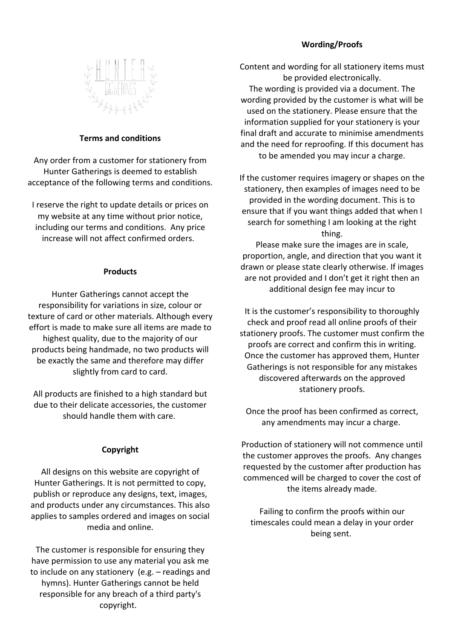# **Wording/Proofs**



## **Terms and conditions**

Any order from a customer for stationery from Hunter Gatherings is deemed to establish acceptance of the following terms and conditions.

I reserve the right to update details or prices on my website at any time without prior notice, including our terms and conditions. Any price increase will not affect confirmed orders.

#### **Products**

Hunter Gatherings cannot accept the responsibility for variations in size, colour or texture of card or other materials. Although every effort is made to make sure all items are made to highest quality, due to the majority of our products being handmade, no two products will be exactly the same and therefore may differ slightly from card to card.

All products are finished to a high standard but due to their delicate accessories, the customer should handle them with care.

### **Copyright**

All designs on this website are copyright of Hunter Gatherings. It is not permitted to copy, publish or reproduce any designs, text, images, and products under any circumstances. This also applies to samples ordered and images on social media and online.

The customer is responsible for ensuring they have permission to use any material you ask me to include on any stationery (e.g. – readings and hymns). Hunter Gatherings cannot be held responsible for any breach of a third party's copyright.

Content and wording for all stationery items must be provided electronically. The wording is provided via a document. The wording provided by the customer is what will be used on the stationery. Please ensure that the information supplied for your stationery is your final draft and accurate to minimise amendments and the need for reproofing. If this document has to be amended you may incur a charge.

If the customer requires imagery or shapes on the stationery, then examples of images need to be provided in the wording document. This is to ensure that if you want things added that when I search for something I am looking at the right thing.

Please make sure the images are in scale, proportion, angle, and direction that you want it drawn or please state clearly otherwise. If images are not provided and I don't get it right then an additional design fee may incur to

It is the customer's responsibility to thoroughly check and proof read all online proofs of their stationery proofs. The customer must confirm the proofs are correct and confirm this in writing. Once the customer has approved them, Hunter Gatherings is not responsible for any mistakes discovered afterwards on the approved stationery proofs.

Once the proof has been confirmed as correct, any amendments may incur a charge.

Production of stationery will not commence until the customer approves the proofs. Any changes requested by the customer after production has commenced will be charged to cover the cost of the items already made.

Failing to confirm the proofs within our timescales could mean a delay in your order being sent.